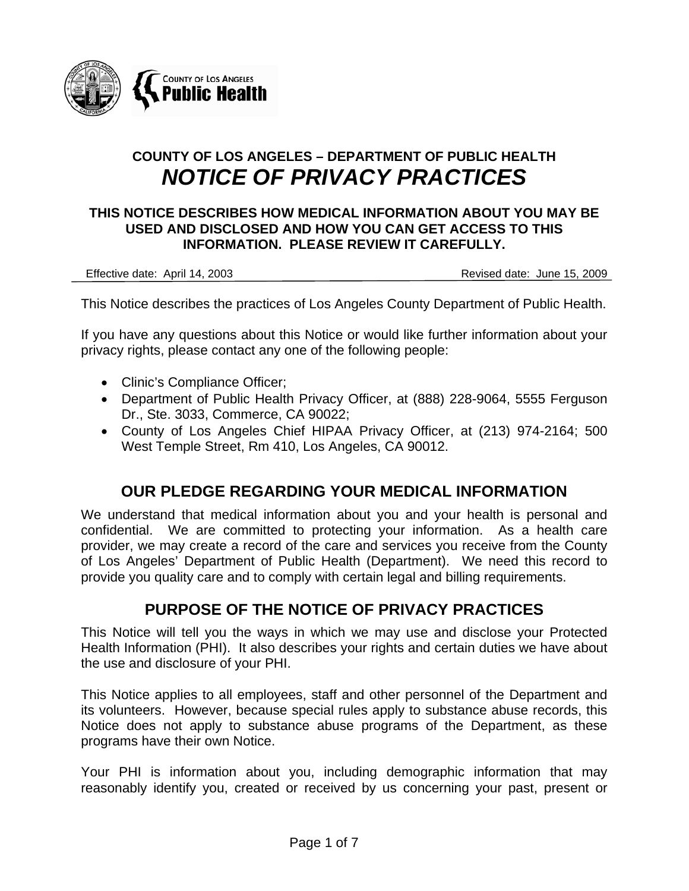

# **COUNTY OF LOS ANGELES – DEPARTMENT OF PUBLIC HEALTH**  *NOTICE OF PRIVACY PRACTICES*

#### **THIS NOTICE DESCRIBES HOW MEDICAL INFORMATION ABOUT YOU MAY BE USED AND DISCLOSED AND HOW YOU CAN GET ACCESS TO THIS INFORMATION. PLEASE REVIEW IT CAREFULLY.**

Effective date: April 14, 2003 Revised date: June 15, 2009

This Notice describes the practices of Los Angeles County Department of Public Health.

If you have any questions about this Notice or would like further information about your privacy rights, please contact any one of the following people:

- Clinic's Compliance Officer;
- Department of Public Health Privacy Officer, at (888) 228-9064, 5555 Ferguson Dr., Ste. 3033, Commerce, CA 90022;
- County of Los Angeles Chief HIPAA Privacy Officer, at (213) 974-2164; 500 West Temple Street, Rm 410, Los Angeles, CA 90012.

### **OUR PLEDGE REGARDING YOUR MEDICAL INFORMATION**

We understand that medical information about you and your health is personal and confidential. We are committed to protecting your information. As a health care provider, we may create a record of the care and services you receive from the County of Los Angeles' Department of Public Health (Department). We need this record to provide you quality care and to comply with certain legal and billing requirements.

### **PURPOSE OF THE NOTICE OF PRIVACY PRACTICES**

This Notice will tell you the ways in which we may use and disclose your Protected Health Information (PHI). It also describes your rights and certain duties we have about the use and disclosure of your PHI.

This Notice applies to all employees, staff and other personnel of the Department and its volunteers. However, because special rules apply to substance abuse records, this Notice does not apply to substance abuse programs of the Department, as these programs have their own Notice.

Your PHI is information about you, including demographic information that may reasonably identify you, created or received by us concerning your past, present or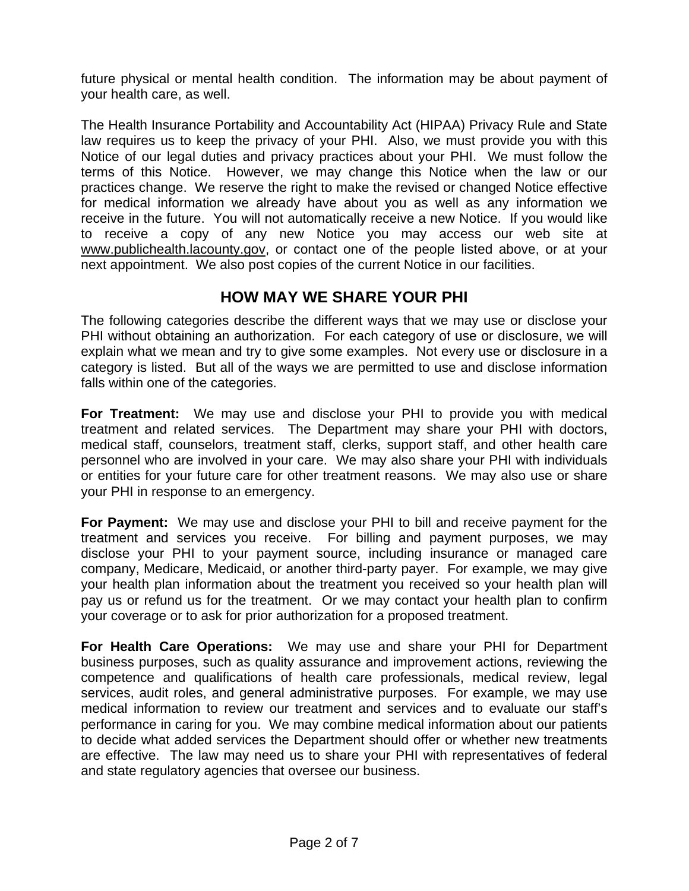future physical or mental health condition. The information may be about payment of your health care, as well.

The Health Insurance Portability and Accountability Act (HIPAA) Privacy Rule and State law requires us to keep the privacy of your PHI. Also, we must provide you with this Notice of our legal duties and privacy practices about your PHI. We must follow the terms of this Notice. However, we may change this Notice when the law or our practices change. We reserve the right to make the revised or changed Notice effective for medical information we already have about you as well as any information we receive in the future. You will not automatically receive a new Notice. If you would like to receive a copy of any new Notice you may access our web site at www.publichealth.lacounty.gov, or contact one of the people listed above, or at your next appointment. We also post copies of the current Notice in our facilities.

### **HOW MAY WE SHARE YOUR PHI**

The following categories describe the different ways that we may use or disclose your PHI without obtaining an authorization. For each category of use or disclosure, we will explain what we mean and try to give some examples. Not every use or disclosure in a category is listed. But all of the ways we are permitted to use and disclose information falls within one of the categories.

**For Treatment:** We may use and disclose your PHI to provide you with medical treatment and related services. The Department may share your PHI with doctors, medical staff, counselors, treatment staff, clerks, support staff, and other health care personnel who are involved in your care. We may also share your PHI with individuals or entities for your future care for other treatment reasons. We may also use or share your PHI in response to an emergency.

**For Payment:** We may use and disclose your PHI to bill and receive payment for the treatment and services you receive. For billing and payment purposes, we may disclose your PHI to your payment source, including insurance or managed care company, Medicare, Medicaid, or another third-party payer. For example, we may give your health plan information about the treatment you received so your health plan will pay us or refund us for the treatment. Or we may contact your health plan to confirm your coverage or to ask for prior authorization for a proposed treatment.

**For Health Care Operations:** We may use and share your PHI for Department business purposes, such as quality assurance and improvement actions, reviewing the competence and qualifications of health care professionals, medical review, legal services, audit roles, and general administrative purposes. For example, we may use medical information to review our treatment and services and to evaluate our staff's performance in caring for you. We may combine medical information about our patients to decide what added services the Department should offer or whether new treatments are effective. The law may need us to share your PHI with representatives of federal and state regulatory agencies that oversee our business.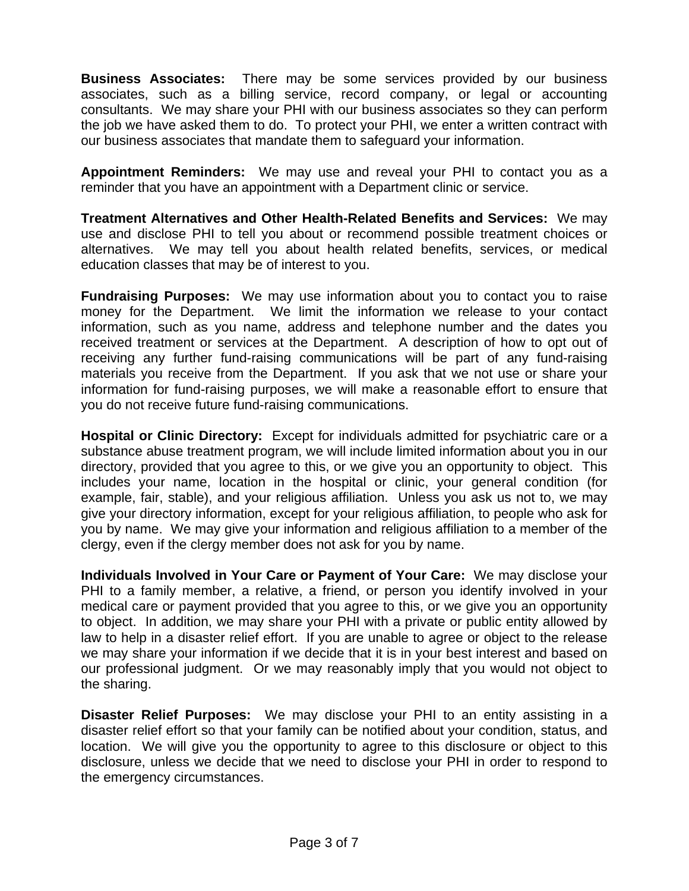**Business Associates:** There may be some services provided by our business associates, such as a billing service, record company, or legal or accounting consultants. We may share your PHI with our business associates so they can perform the job we have asked them to do. To protect your PHI, we enter a written contract with our business associates that mandate them to safeguard your information.

**Appointment Reminders:** We may use and reveal your PHI to contact you as a reminder that you have an appointment with a Department clinic or service.

**Treatment Alternatives and Other Health-Related Benefits and Services:** We may use and disclose PHI to tell you about or recommend possible treatment choices or alternatives. We may tell you about health related benefits, services, or medical education classes that may be of interest to you.

**Fundraising Purposes:** We may use information about you to contact you to raise money for the Department. We limit the information we release to your contact information, such as you name, address and telephone number and the dates you received treatment or services at the Department. A description of how to opt out of receiving any further fund-raising communications will be part of any fund-raising materials you receive from the Department. If you ask that we not use or share your information for fund-raising purposes, we will make a reasonable effort to ensure that you do not receive future fund-raising communications.

**Hospital or Clinic Directory:** Except for individuals admitted for psychiatric care or a substance abuse treatment program, we will include limited information about you in our directory, provided that you agree to this, or we give you an opportunity to object. This includes your name, location in the hospital or clinic, your general condition (for example, fair, stable), and your religious affiliation. Unless you ask us not to, we may give your directory information, except for your religious affiliation, to people who ask for you by name. We may give your information and religious affiliation to a member of the clergy, even if the clergy member does not ask for you by name.

**Individuals Involved in Your Care or Payment of Your Care:** We may disclose your PHI to a family member, a relative, a friend, or person you identify involved in your medical care or payment provided that you agree to this, or we give you an opportunity to object. In addition, we may share your PHI with a private or public entity allowed by law to help in a disaster relief effort. If you are unable to agree or object to the release we may share your information if we decide that it is in your best interest and based on our professional judgment. Or we may reasonably imply that you would not object to the sharing.

**Disaster Relief Purposes:** We may disclose your PHI to an entity assisting in a disaster relief effort so that your family can be notified about your condition, status, and location. We will give you the opportunity to agree to this disclosure or object to this disclosure, unless we decide that we need to disclose your PHI in order to respond to the emergency circumstances.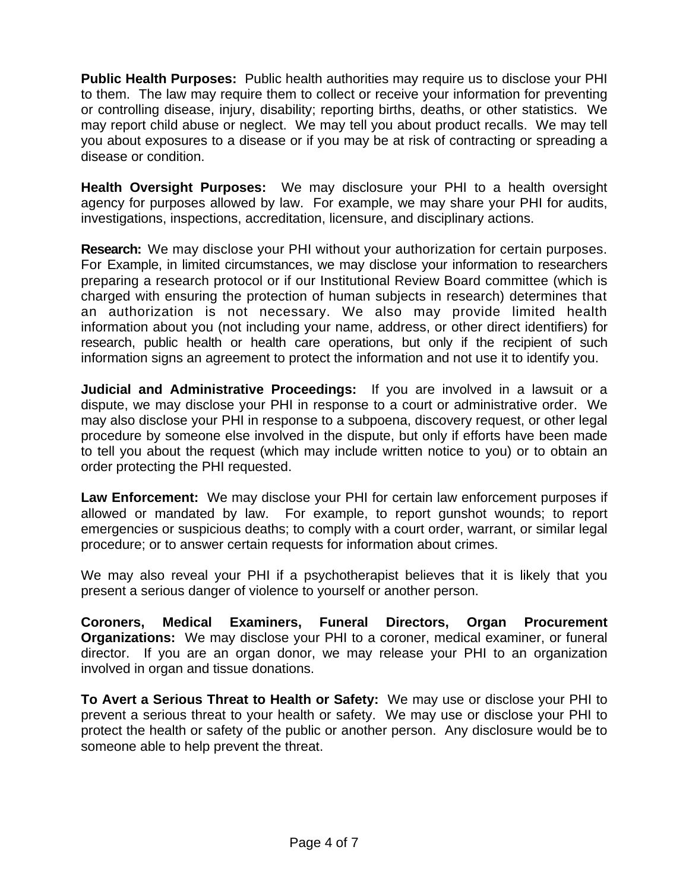**Public Health Purposes:** Public health authorities may require us to disclose your PHI to them. The law may require them to collect or receive your information for preventing or controlling disease, injury, disability; reporting births, deaths, or other statistics. We may report child abuse or neglect. We may tell you about product recalls. We may tell you about exposures to a disease or if you may be at risk of contracting or spreading a disease or condition.

**Health Oversight Purposes:** We may disclosure your PHI to a health oversight agency for purposes allowed by law. For example, we may share your PHI for audits, investigations, inspections, accreditation, licensure, and disciplinary actions.

**Research:** We may disclose your PHI without your authorization for certain purposes. For Example, in limited circumstances, we may disclose your information to researchers preparing a research protocol or if our Institutional Review Board committee (which is charged with ensuring the protection of human subjects in research) determines that an authorization is not necessary. We also may provide limited health information about you (not including your name, address, or other direct identifiers) for research, public health or health care operations, but only if the recipient of such information signs an agreement to protect the information and not use it to identify you.

**Judicial and Administrative Proceedings:** If you are involved in a lawsuit or a dispute, we may disclose your PHI in response to a court or administrative order. We may also disclose your PHI in response to a subpoena, discovery request, or other legal procedure by someone else involved in the dispute, but only if efforts have been made to tell you about the request (which may include written notice to you) or to obtain an order protecting the PHI requested.

**Law Enforcement:** We may disclose your PHI for certain law enforcement purposes if allowed or mandated by law. For example, to report gunshot wounds; to report emergencies or suspicious deaths; to comply with a court order, warrant, or similar legal procedure; or to answer certain requests for information about crimes.

We may also reveal your PHI if a psychotherapist believes that it is likely that you present a serious danger of violence to yourself or another person.

**Coroners, Medical Examiners, Funeral Directors, Organ Procurement Organizations:** We may disclose your PHI to a coroner, medical examiner, or funeral director. If you are an organ donor, we may release your PHI to an organization involved in organ and tissue donations.

**To Avert a Serious Threat to Health or Safety:** We may use or disclose your PHI to prevent a serious threat to your health or safety. We may use or disclose your PHI to protect the health or safety of the public or another person. Any disclosure would be to someone able to help prevent the threat.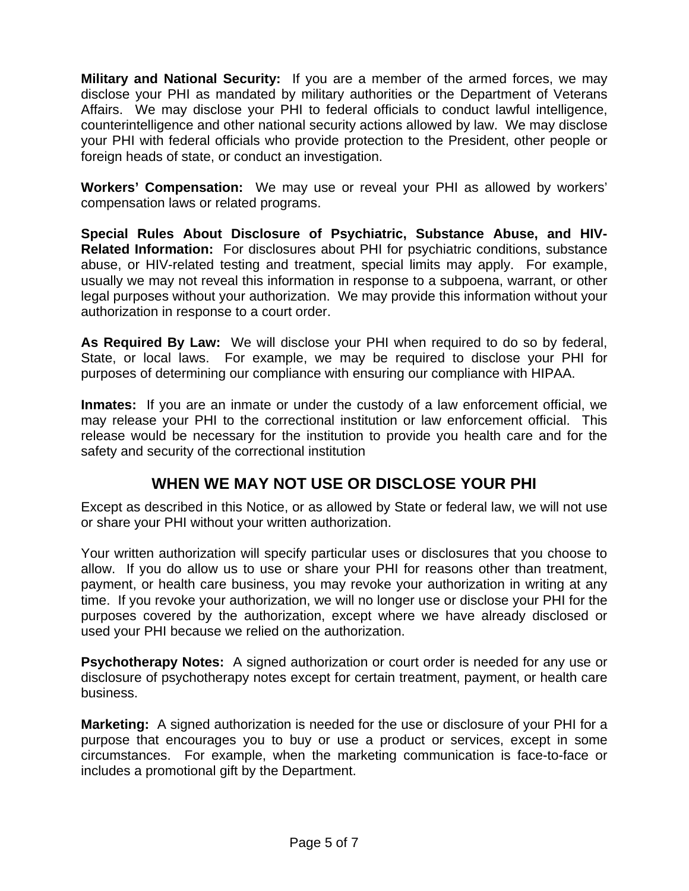**Military and National Security:** If you are a member of the armed forces, we may disclose your PHI as mandated by military authorities or the Department of Veterans Affairs. We may disclose your PHI to federal officials to conduct lawful intelligence, counterintelligence and other national security actions allowed by law. We may disclose your PHI with federal officials who provide protection to the President, other people or foreign heads of state, or conduct an investigation.

**Workers' Compensation:** We may use or reveal your PHI as allowed by workers' compensation laws or related programs.

**Special Rules About Disclosure of Psychiatric, Substance Abuse, and HIV-Related Information:** For disclosures about PHI for psychiatric conditions, substance abuse, or HIV-related testing and treatment, special limits may apply. For example, usually we may not reveal this information in response to a subpoena, warrant, or other legal purposes without your authorization. We may provide this information without your authorization in response to a court order.

**As Required By Law:** We will disclose your PHI when required to do so by federal, State, or local laws. For example, we may be required to disclose your PHI for purposes of determining our compliance with ensuring our compliance with HIPAA.

**Inmates:** If you are an inmate or under the custody of a law enforcement official, we may release your PHI to the correctional institution or law enforcement official. This release would be necessary for the institution to provide you health care and for the safety and security of the correctional institution

### **WHEN WE MAY NOT USE OR DISCLOSE YOUR PHI**

Except as described in this Notice, or as allowed by State or federal law, we will not use or share your PHI without your written authorization.

Your written authorization will specify particular uses or disclosures that you choose to allow. If you do allow us to use or share your PHI for reasons other than treatment, payment, or health care business, you may revoke your authorization in writing at any time. If you revoke your authorization, we will no longer use or disclose your PHI for the purposes covered by the authorization, except where we have already disclosed or used your PHI because we relied on the authorization.

**Psychotherapy Notes:** A signed authorization or court order is needed for any use or disclosure of psychotherapy notes except for certain treatment, payment, or health care business.

**Marketing:** A signed authorization is needed for the use or disclosure of your PHI for a purpose that encourages you to buy or use a product or services, except in some circumstances. For example, when the marketing communication is face-to-face or includes a promotional gift by the Department.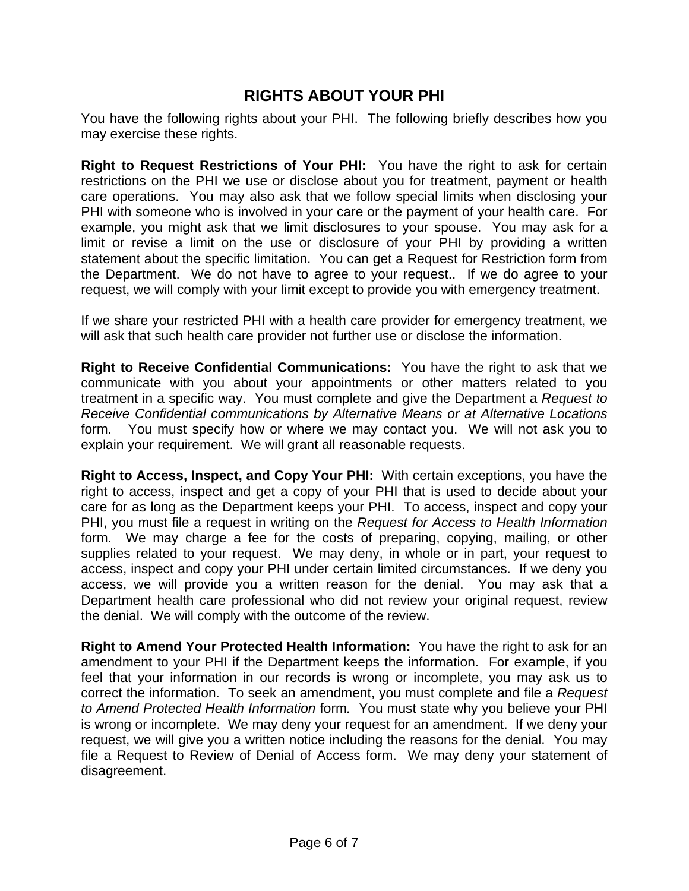# **RIGHTS ABOUT YOUR PHI**

You have the following rights about your PHI. The following briefly describes how you may exercise these rights.

**Right to Request Restrictions of Your PHI:** You have the right to ask for certain restrictions on the PHI we use or disclose about you for treatment, payment or health care operations. You may also ask that we follow special limits when disclosing your PHI with someone who is involved in your care or the payment of your health care. For example, you might ask that we limit disclosures to your spouse. You may ask for a limit or revise a limit on the use or disclosure of your PHI by providing a written statement about the specific limitation. You can get a Request for Restriction form from the Department. We do not have to agree to your request.. If we do agree to your request, we will comply with your limit except to provide you with emergency treatment.

If we share your restricted PHI with a health care provider for emergency treatment, we will ask that such health care provider not further use or disclose the information.

**Right to Receive Confidential Communications:** You have the right to ask that we communicate with you about your appointments or other matters related to you treatment in a specific way. You must complete and give the Department a *Request to Receive Confidential communications by Alternative Means or at Alternative Locations* form. You must specify how or where we may contact you. We will not ask you to explain your requirement. We will grant all reasonable requests.

**Right to Access, Inspect, and Copy Your PHI:** With certain exceptions, you have the right to access, inspect and get a copy of your PHI that is used to decide about your care for as long as the Department keeps your PHI. To access, inspect and copy your PHI, you must file a request in writing on the *Request for Access to Health Information*  form. We may charge a fee for the costs of preparing, copying, mailing, or other supplies related to your request. We may deny, in whole or in part, your request to access, inspect and copy your PHI under certain limited circumstances. If we deny you access, we will provide you a written reason for the denial. You may ask that a Department health care professional who did not review your original request, review the denial. We will comply with the outcome of the review.

**Right to Amend Your Protected Health Information:** You have the right to ask for an amendment to your PHI if the Department keeps the information. For example, if you feel that your information in our records is wrong or incomplete, you may ask us to correct the information. To seek an amendment, you must complete and file a *Request to Amend Protected Health Information* form*.* You must state why you believe your PHI is wrong or incomplete. We may deny your request for an amendment. If we deny your request, we will give you a written notice including the reasons for the denial. You may file a Request to Review of Denial of Access form. We may deny your statement of disagreement.